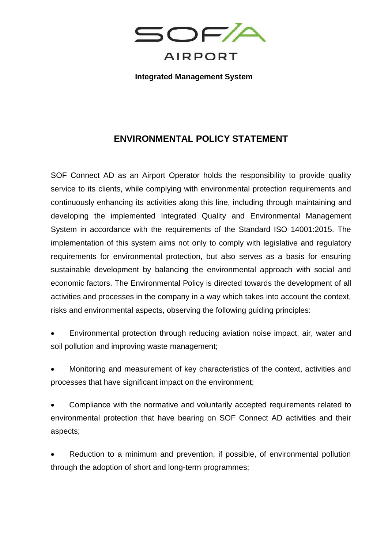

**Integrated Management System**

## **ENVIRONMENTAL POLICY STATEMENT**

SOF Connect AD as an Airport Operator holds the responsibility to provide quality service to its clients, while complying with environmental protection requirements and continuously enhancing its activities along this line, including through maintaining and developing the implemented Integrated Quality and Environmental Management System in accordance with the requirements of the Standard ISO 14001:2015. The implementation of this system aims not only to comply with legislative and regulatory requirements for environmental protection, but also serves as a basis for ensuring sustainable development by balancing the environmental approach with social and economic factors. The Environmental Policy is directed towards the development of all activities and processes in the company in a way which takes into account the context, risks and environmental aspects, observing the following guiding principles:

- Environmental protection through reducing aviation noise impact, air, water and soil pollution and improving waste management;
- Monitoring and measurement of key characteristics of the context, activities and processes that have significant impact on the environment;
- Compliance with the normative and voluntarily accepted requirements related to environmental protection that have bearing on SOF Connect AD activities and their aspects;
- Reduction to a minimum and prevention, if possible, of environmental pollution through the adoption of short and long-term programmes;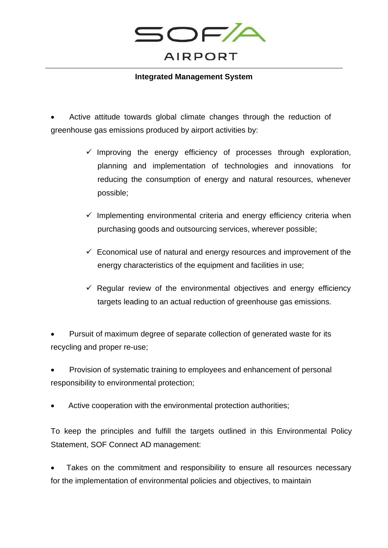

## **Integrated Management System**

Active attitude towards global climate changes through the reduction of greenhouse gas emissions produced by airport activities by:

- $\checkmark$  Improving the energy efficiency of processes through exploration, planning and implementation of technologies and innovations for reducing the consumption of energy and natural resources, whenever possible;
- $\checkmark$  Implementing environmental criteria and energy efficiency criteria when purchasing goods and outsourcing services, wherever possible;
- $\checkmark$  Economical use of natural and energy resources and improvement of the energy characteristics of the equipment and facilities in use;
- $\checkmark$  Regular review of the environmental objectives and energy efficiency targets leading to an actual reduction of greenhouse gas emissions.

• Pursuit of maximum degree of separate collection of generated waste for its recycling and proper re-use;

• Provision of systematic training to employees and enhancement of personal responsibility to environmental protection;

Active cooperation with the environmental protection authorities;

To keep the principles and fulfill the targets outlined in this Environmental Policy Statement, SOF Connect AD management:

Takes on the commitment and responsibility to ensure all resources necessary for the implementation of environmental policies and objectives, to maintain